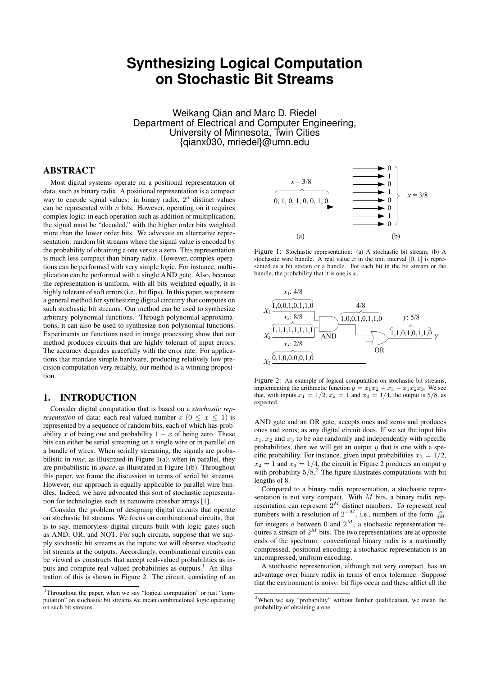# **Synthesizing Logical Computation on Stochastic Bit Streams**

Weikang Qian and Marc D. Riedel Department of Electrical and Computer Engineering, University of Minnesota, Twin Cities {qianx030, mriedel}@umn.edu

# ABSTRACT

Most digital systems operate on a positional representation of data, such as binary radix. A positional representation is a compact way to encode signal values: in binary radix,  $2<sup>n</sup>$  distinct values can be represented with  $n$  bits. However, operating on it requires complex logic: in each operation such as addition or multiplication, the signal must be "decoded," with the higher order bits weighted more than the lower order bits. We advocate an alternative representation: random bit streams where the signal value is encoded by the probability of obtaining a one versus a zero. This representation is much less compact than binary radix. However, complex operations can be performed with very simple logic. For instance, multiplication can be performed with a single AND gate. Also, because the representation is uniform, with all bits weighted equally, it is highly tolerant of soft errors (i.e., bit flips). In this paper, we present a general method for synthesizing digital circuitry that computes on such stochastic bit streams. Our method can be used to synthesize arbitrary polynomial functions. Through polynomial approximations, it can also be used to synthesize non-polynomial functions. Experiments on functions used in image processing show that our method produces circuits that are highly tolerant of input errors. The accuracy degrades gracefully with the error rate. For applications that mandate simple hardware, producing relatively low precision computation very reliably, our method is a winning proposition.

# 1. INTRODUCTION

Consider digital computation that is based on a *stochastic representation* of data: each real-valued number  $x (0 \le x \le 1)$  is represented by a sequence of random bits, each of which has probability x of being one and probability  $1 - x$  of being zero. These bits can either be serial streaming on a single wire or in parallel on a bundle of wires. When serially streaming, the signals are probabilistic in *time*, as illustrated in Figure 1(a); when in parallel, they are probabilistic in *space*, as illustrated in Figure 1(b). Throughout this paper, we frame the discussion in terms of serial bit streams. However, our approach is equally applicable to parallel wire bundles. Indeed, we have advocated this sort of stochastic representation for technologies such as nanowire crossbar arrays [1].

Consider the problem of designing digital circuits that operate on stochastic bit streams. We focus on combinational circuits, that is to say, memoryless digital circuits built with logic gates such as AND, OR, and NOT. For such circuits, suppose that we supply stochastic bit streams as the inputs; we will observe stochastic bit streams at the outputs. Accordingly, combinational circuits can be viewed as constructs that accept real-valued probabilities as inputs and compute real-valued probabilities as outputs.<sup>1</sup> An illustration of this is shown in Figure 2. The circuit, consisting of an



Figure 1: Stochastic representation: (a) A stochastic bit stream; (b) A stochastic wire bundle. A real value x in the unit interval  $[0, 1]$  is represented as a bit stream or a bundle. For each bit in the bit stream or the bundle, the probability that it is one is  $x$ .



Figure 2: An example of logical computation on stochastic bit streams, implementing the arithmetic function  $y = x_1x_2 + x_3 - x_1x_2x_3$ . We see that, with inputs  $x_1 = 1/2$ ,  $x_2 = 1$  and  $x_3 = 1/4$ , the output is 5/8, as expected.

AND gate and an OR gate, accepts ones and zeros and produces ones and zeros, as any digital circuit does. If we set the input bits  $x_1, x_2$  and  $x_3$  to be one randomly and independently with specific probabilities, then we will get an output  $y$  that is one with a specific probability. For instance, given input probabilities  $x_1 = 1/2$ ,  $x_2 = 1$  and  $x_3 = 1/4$ , the circuit in Figure 2 produces an output y with probability  $5/8$ .<sup>2</sup> The figure illustrates computations with bit lengths of 8.

Compared to a binary radix representation, a stochastic representation is not very compact. With  $M$  bits, a binary radix representation can represent  $2^M$  distinct numbers. To represent real numbers with a resolution of  $2^{-M}$ , i.e., numbers of the form  $\frac{a}{2^{M}}$ for integers a between 0 and  $2^M$ , a stochastic representation requires a stream of  $2^M$  bits. The two representations are at opposite ends of the spectrum: conventional binary radix is a maximally compressed, positional encoding; a stochastic representation is an uncompressed, uniform encoding.

A stochastic representation, although not very compact, has an advantage over binary radix in terms of error tolerance. Suppose that the environment is noisy: bit flips occur and these afflict all the

<sup>&</sup>lt;sup>1</sup>Throughout the paper, when we say "logical computation" or just "computation" on stochastic bit streams we mean combinational logic operating on such bit streams.

<sup>2</sup>When we say "probability" without further qualification, we mean the probability of obtaining a one.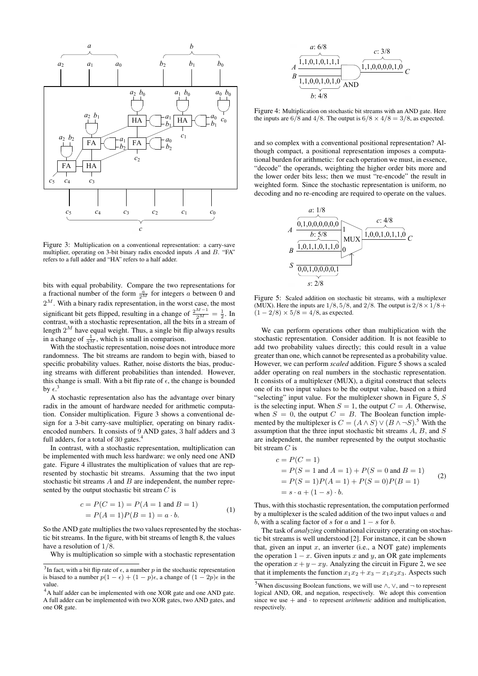

Figure 3: Multiplication on a conventional representation: a carry-save multiplier, operating on 3-bit binary radix encoded inputs A and B. "FA" refers to a full adder and "HA" refers to a half adder.

bits with equal probability. Compare the two representations for a fractional number of the form  $\frac{a}{2^M}$  for integers a between 0 and  $2^M$ . With a binary radix representation, in the worst case, the most significant bit gets flipped, resulting in a change of  $\frac{2^{M-1}}{2^M} = \frac{1}{2}$ . In contrast, with a stochastic representation, all the bits in a stream of length  $2^M$  have equal weight. Thus, a single bit flip always results in a change of  $\frac{1}{2^M}$ , which is small in comparison.

With the stochastic representation, noise does not introduce more randomness. The bit streams are random to begin with, biased to specific probability values. Rather, noise distorts the bias, producing streams with different probabilities than intended. However, this change is small. With a bit flip rate of  $\epsilon$ , the change is bounded by  $\epsilon$ .<sup>3</sup>

A stochastic representation also has the advantage over binary radix in the amount of hardware needed for arithmetic computation. Consider multiplication. Figure 3 shows a conventional design for a 3-bit carry-save multiplier, operating on binary radixencoded numbers. It consists of 9 AND gates, 3 half adders and 3 full adders, for a total of 30 gates. $4$ 

In contrast, with a stochastic representation, multiplication can be implemented with much less hardware: we only need one AND gate. Figure 4 illustrates the multiplication of values that are represented by stochastic bit streams. Assuming that the two input stochastic bit streams  $A$  and  $B$  are independent, the number represented by the output stochastic bit stream  $C$  is

$$
c = P(C = 1) = P(A = 1 \text{ and } B = 1)
$$
  
= P(A = 1)P(B = 1) = a · b. (1)

So the AND gate multiplies the two values represented by the stochastic bit streams. In the figure, with bit streams of length 8, the values have a resolution of 1/8.

Why is multiplication so simple with a stochastic representation



Figure 4: Multiplication on stochastic bit streams with an AND gate. Here the inputs are  $6/8$  and  $4/8$ . The output is  $6/8 \times 4/8 = 3/8$ , as expected.

and so complex with a conventional positional representation? Although compact, a positional representation imposes a computational burden for arithmetic: for each operation we must, in essence, "decode" the operands, weighting the higher order bits more and the lower order bits less; then we must "re-encode" the result in weighted form. Since the stochastic representation is uniform, no decoding and no re-encoding are required to operate on the values.



Figure 5: Scaled addition on stochastic bit streams, with a multiplexer (MUX). Here the inputs are  $1/8$ ,  $5/8$ , and  $2/8$ . The output is  $2/8 \times 1/8$  +  $(1 - 2/8) \times 5/8 = 4/8$ , as expected.

We can perform operations other than multiplication with the stochastic representation. Consider addition. It is not feasible to add two probability values directly; this could result in a value greater than one, which cannot be represented as a probability value. However, we can perform *scaled* addition. Figure 5 shows a scaled adder operating on real numbers in the stochastic representation. It consists of a multiplexer (MUX), a digital construct that selects one of its two input values to be the output value, based on a third "selecting" input value. For the multiplexer shown in Figure 5,  $S$ is the selecting input. When  $S = 1$ , the output  $C = A$ . Otherwise, when  $S = 0$ , the output  $C = B$ . The Boolean function implemented by the multiplexer is  $C = (A \wedge S) \vee (B \wedge \neg S)$ .<sup>5</sup> With the assumption that the three input stochastic bit streams A, B, and S are independent, the number represented by the output stochastic bit stream C is

$$
c = P(C = 1)
$$
  
= P(S = 1 and A = 1) + P(S = 0 and B = 1)  
= P(S = 1)P(A = 1) + P(S = 0)P(B = 1)  
= s \cdot a + (1 - s) \cdot b.

Thus, with this stochastic representation, the computation performed by a multiplexer is the scaled addition of the two input values a and b, with a scaling factor of s for a and  $1 - s$  for b.

The task of *analyzing* combinational circuitry operating on stochastic bit streams is well understood [2]. For instance, it can be shown that, given an input  $x$ , an inverter (i.e., a NOT gate) implements the operation  $1 - x$ . Given inputs x and y, an OR gate implements the operation  $x + y - xy$ . Analyzing the circuit in Figure 2, we see that it implements the function  $x_1x_2 + x_3 - x_1x_2x_3$ . Aspects such

<sup>&</sup>lt;sup>3</sup>In fact, with a bit flip rate of  $\epsilon$ , a number p in the stochastic representation is biased to a number  $p(1 - \epsilon) + (1 - p)\epsilon$ , a change of  $(1 - 2p)\epsilon$  in the value.

<sup>&</sup>lt;sup>4</sup>A half adder can be implemented with one XOR gate and one AND gate. A full adder can be implemented with two XOR gates, two AND gates, and one OR gate.

<sup>&</sup>lt;sup>5</sup>When discussing Boolean functions, we will use ∧,  $\lor$ , and  $\neg$  to represent logical AND, OR, and negation, respectively. We adopt this convention since we use  $+$  and  $\cdot$  to represent *arithmetic* addition and multiplication, respectively.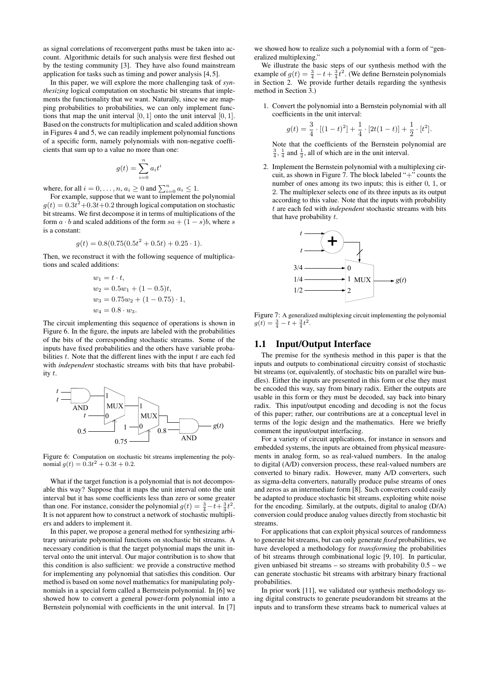as signal correlations of reconvergent paths must be taken into account. Algorithmic details for such analysis were first fleshed out by the testing community [3]. They have also found mainstream application for tasks such as timing and power analysis [4, 5].

In this paper, we will explore the more challenging task of *synthesizing* logical computation on stochastic bit streams that implements the functionality that we want. Naturally, since we are mapping probabilities to probabilities, we can only implement functions that map the unit interval  $[0, 1]$  onto the unit interval  $[0, 1]$ . Based on the constructs for multiplication and scaled addition shown in Figures 4 and 5, we can readily implement polynomial functions of a specific form, namely polynomials with non-negative coefficients that sum up to a value no more than one:

$$
g(t) = \sum_{i=0}^{n} a_i t^i
$$

where, for all  $i = 0, \ldots, n, a_i \ge 0$  and  $\sum_{i=0}^{n} a_i \le 1$ .

For example, suppose that we want to implement the polynomial  $g(t) = 0.3t^2 + 0.3t + 0.2$  through logical computation on stochastic bit streams. We first decompose it in terms of multiplications of the form  $a \cdot b$  and scaled additions of the form  $sa + (1 - s)b$ , where s is a constant:

$$
g(t) = 0.8(0.75(0.5t2 + 0.5t) + 0.25 \cdot 1).
$$

Then, we reconstruct it with the following sequence of multiplications and scaled additions:

$$
w_1 = t \cdot t,
$$
  
\n
$$
w_2 = 0.5w_1 + (1 - 0.5)t,
$$
  
\n
$$
w_3 = 0.75w_2 + (1 - 0.75) \cdot 1,
$$
  
\n
$$
w_4 = 0.8 \cdot w_3.
$$

The circuit implementing this sequence of operations is shown in Figure 6. In the figure, the inputs are labeled with the probabilities of the bits of the corresponding stochastic streams. Some of the inputs have fixed probabilities and the others have variable probabilities  $t$ . Note that the different lines with the input  $t$  are each fed with *independent* stochastic streams with bits that have probability t.



Figure 6: Computation on stochastic bit streams implementing the polynomial  $g(t) = 0.3t^2 + 0.3t + 0.2$ .

What if the target function is a polynomial that is not decomposable this way? Suppose that it maps the unit interval onto the unit interval but it has some coefficients less than zero or some greater than one. For instance, consider the polynomial  $g(t) = \frac{3}{4} - t + \frac{3}{4}t^2$ . It is not apparent how to construct a network of stochastic multipliers and adders to implement it.

In this paper, we propose a general method for synthesizing arbitrary univariate polynomial functions on stochastic bit streams. A necessary condition is that the target polynomial maps the unit interval onto the unit interval. Our major contribution is to show that this condition is also sufficient: we provide a constructive method for implementing any polynomial that satisfies this condition. Our method is based on some novel mathematics for manipulating polynomials in a special form called a Bernstein polynomial. In [6] we showed how to convert a general power-form polynomial into a Bernstein polynomial with coefficients in the unit interval. In [7]

we showed how to realize such a polynomial with a form of "generalized multiplexing."

We illustrate the basic steps of our synthesis method with the example of  $g(t) = \frac{3}{4} - t + \frac{3}{4}t^2$ . (We define Bernstein polynomials in Section 2. We provide further details regarding the synthesis method in Section 3.)

1. Convert the polynomial into a Bernstein polynomial with all coefficients in the unit interval:

$$
g(t) = \frac{3}{4} \cdot [(1-t)^2] + \frac{1}{4} \cdot [2t(1-t)] + \frac{1}{2} \cdot [t^2].
$$

Note that the coefficients of the Bernstein polynomial are  $\frac{3}{4}$ ,  $\frac{1}{4}$  and  $\frac{1}{2}$ , all of which are in the unit interval.

2. Implement the Bernstein polynomial with a multiplexing circuit, as shown in Figure 7. The block labeled "+" counts the number of ones among its two inputs; this is either 0, 1, or 2. The multiplexer selects one of its three inputs as its output according to this value. Note that the inputs with probability t are each fed with *independent* stochastic streams with bits that have probability  $t$ .



Figure 7: A generalized multiplexing circuit implementing the polynomial  $g(t) = \frac{3}{4} - t + \frac{3}{4}t^2$ .

# 1.1 Input/Output Interface

The premise for the synthesis method in this paper is that the inputs and outputs to combinational circuitry consist of stochastic bit streams (or, equivalently, of stochastic bits on parallel wire bundles). Either the inputs are presented in this form or else they must be encoded this way, say from binary radix. Either the outputs are usable in this form or they must be decoded, say back into binary radix. This input/output encoding and decoding is not the focus of this paper; rather, our contributions are at a conceptual level in terms of the logic design and the mathematics. Here we briefly comment the input/output interfacing.

For a variety of circuit applications, for instance in sensors and embedded systems, the inputs are obtained from physical measurements in analog form, so as real-valued numbers. In the analog to digital (A/D) conversion process, these real-valued numbers are converted to binary radix. However, many A/D converters, such as sigma-delta converters, naturally produce pulse streams of ones and zeros as an intermediate form [8]. Such converters could easily be adapted to produce stochastic bit streams, exploiting white noise for the encoding. Similarly, at the outputs, digital to analog (D/A) conversion could produce analog values directly from stochastic bit streams.

For applications that can exploit physical sources of randomness to generate bit streams, but can only generate *fixed* probabilities, we have developed a methodology for *transforming* the probabilities of bit streams through combinational logic [9, 10]. In particular, given unbiased bit streams – so streams with probability 0.5 – we can generate stochastic bit streams with arbitrary binary fractional probabilities.

In prior work [11], we validated our synthesis methodology using digital constructs to generate pseudorandom bit streams at the inputs and to transform these streams back to numerical values at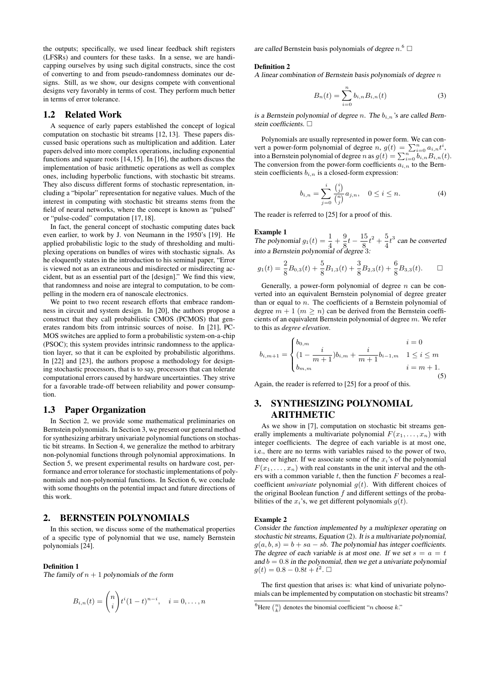the outputs; specifically, we used linear feedback shift registers (LFSRs) and counters for these tasks. In a sense, we are handicapping ourselves by using such digital constructs, since the cost of converting to and from pseudo-randomness dominates our designs. Still, as we show, our designs compete with conventional designs very favorably in terms of cost. They perform much better in terms of error tolerance.

# 1.2 Related Work

A sequence of early papers established the concept of logical computation on stochastic bit streams [12, 13]. These papers discussed basic operations such as multiplication and addition. Later papers delved into more complex operations, including exponential functions and square roots [14, 15]. In [16], the authors discuss the implementation of basic arithmetic operations as well as complex ones, including hyperbolic functions, with stochastic bit streams. They also discuss different forms of stochastic representation, including a "bipolar" representation for negative values. Much of the interest in computing with stochastic bit streams stems from the field of neural networks, where the concept is known as "pulsed" or "pulse-coded" computation [17, 18].

In fact, the general concept of stochastic computing dates back even earlier, to work by J. von Neumann in the 1950's [19]. He applied probabilistic logic to the study of thresholding and multiplexing operations on bundles of wires with stochastic signals. As he eloquently states in the introduction to his seminal paper, "Error is viewed not as an extraneous and misdirected or misdirecting accident, but as an essential part of the [design]." We find this view, that randomness and noise are integral to computation, to be compelling in the modern era of nanoscale electronics.

We point to two recent research efforts that embrace randomness in circuit and system design. In [20], the authors propose a construct that they call probabilistic CMOS (PCMOS) that generates random bits from intrinsic sources of noise. In [21], PC-MOS switches are applied to form a probabilistic system-on-a-chip (PSOC); this system provides intrinsic randomness to the application layer, so that it can be exploited by probabilistic algorithms. In [22] and [23], the authors propose a methodology for designing stochastic processors, that is to say, processors that can tolerate computational errors caused by hardware uncertainties. They strive for a favorable trade-off between reliability and power consumption.

# 1.3 Paper Organization

In Section 2, we provide some mathematical preliminaries on Bernstein polynomials. In Section 3, we present our general method for synthesizing arbitrary univariate polynomial functions on stochastic bit streams. In Section 4, we generalize the method to arbitrary non-polynomial functions through polynomial approximations. In Section 5, we present experimental results on hardware cost, performance and error tolerance for stochastic implementations of polynomials and non-polynomial functions. In Section 6, we conclude with some thoughts on the potential impact and future directions of this work.

# 2. BERNSTEIN POLYNOMIALS

In this section, we discuss some of the mathematical properties of a specific type of polynomial that we use, namely Bernstein polynomials [24].

### Definition 1

The family of  $n + 1$  polynomials of the form

$$
B_{i,n}(t) = {n \choose i} t^{i} (1-t)^{n-i}, \quad i = 0, \dots, n
$$

are called Bernstein basis polynomials of degree  $n$ .<sup>6</sup>  $\Box$ 

#### Definition 2

A linear combination of Bernstein basis polynomials of degree  $n$ 

$$
B_n(t) = \sum_{i=0}^{n} b_{i,n} B_{i,n}(t)
$$
 (3)

is a Bernstein polynomial of degree n. The  $b_{i,n}$ 's are called Bernstein coefficients.  $\square$ 

Polynomials are usually represented in power form. We can convert a power-form polynomial of degree  $n, g(t) = \sum_{i=0}^{n} a_{i,n} t^i$ , into a Bernstein polynomial of degree n as  $g(t) = \sum_{i=0}^{n} \sum_{i=0}^{n} b_{i,n} B_{i,n}(t)$ . The conversion from the power-form coefficients  $a_{i,n}$  to the Bernstein coefficients  $b_{i,n}$  is a closed-form expression:

$$
b_{i,n} = \sum_{j=0}^{i} \frac{\binom{i}{j}}{\binom{n}{j}} a_{j,n}, \quad 0 \le i \le n.
$$
 (4)

The reader is referred to [25] for a proof of this.

**Example 1**<br>The polynomial  $g_1(t) = \frac{1}{4} + \frac{9}{8}$  $\frac{9}{8}t-\frac{15}{8}$  $\frac{15}{8}t^2 + \frac{5}{4}$  $\frac{3}{4}t^3$  can be converted into a Bernstein polynomial of degree 3:

$$
g_1(t) = \frac{2}{8}B_{0,3}(t) + \frac{5}{8}B_{1,3}(t) + \frac{3}{8}B_{2,3}(t) + \frac{6}{8}B_{3,3}(t). \square
$$

Generally, a power-form polynomial of degree  $n$  can be converted into an equivalent Bernstein polynomial of degree greater than or equal to  $n$ . The coefficients of a Bernstein polynomial of degree  $m + 1$   $(m \ge n)$  can be derived from the Bernstein coefficients of an equivalent Bernstein polynomial of degree m. We refer to this as *degree elevation*.

$$
b_{i,m+1} = \begin{cases} b_{0,m} & i = 0\\ (1 - \frac{i}{m+1})b_{i,m} + \frac{i}{m+1}b_{i-1,m} & 1 \le i \le m\\ b_{m,m} & i = m+1. \end{cases}
$$
 (5)

Again, the reader is referred to [25] for a proof of this.

# 3. SYNTHESIZING POLYNOMIAL ARITHMETIC

As we show in [7], computation on stochastic bit streams generally implements a multivariate polynomial  $F(x_1, \ldots, x_n)$  with integer coefficients. The degree of each variable is at most one, i.e., there are no terms with variables raised to the power of two, three or higher. If we associate some of the  $x_i$ 's of the polynomial  $F(x_1, \ldots, x_n)$  with real constants in the unit interval and the others with a common variable  $t$ , then the function  $F$  becomes a realcoefficient *univariate* polynomial  $g(t)$ . With different choices of the original Boolean function  $f$  and different settings of the probabilities of the  $x_i$ 's, we get different polynomials  $g(t)$ .

#### Example 2

Consider the function implemented by a multiplexer operating on stochastic bit streams, Equation (2). It is a multivariate polynomial,  $g(a, b, s) = b + sa - sb$ . The polynomial has integer coefficients. The degree of each variable is at most one. If we set  $s = a = t$ and  $b = 0.8$  in the polynomial, then we get a univariate polynomial  $g(t) = 0.8 - 0.8t + t^2$ .

The first question that arises is: what kind of univariate polynomials can be implemented by computation on stochastic bit streams?

<sup>&</sup>lt;sup>6</sup>Here  $\binom{n}{k}$  denotes the binomial coefficient "*n* choose *k*."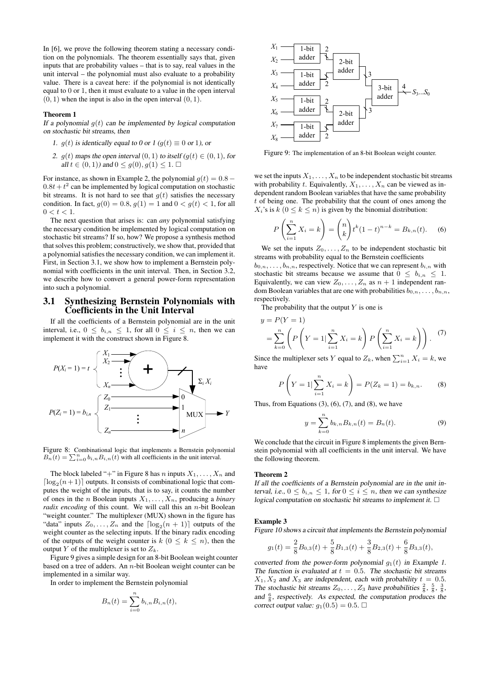In [6], we prove the following theorem stating a necessary condition on the polynomials. The theorem essentially says that, given inputs that are probability values – that is to say, real values in the unit interval – the polynomial must also evaluate to a probability value. There is a caveat here: if the polynomial is not identically equal to 0 or 1, then it must evaluate to a value in the open interval  $(0, 1)$  when the input is also in the open interval  $(0, 1)$ .

#### Theorem 1

If a polynomial  $q(t)$  can be implemented by logical computation on stochastic bit streams, then

- 1.  $g(t)$  is identically equal to 0 or 1 ( $g(t) \equiv 0$  or 1), or
- 2.  $q(t)$  maps the open interval  $(0, 1)$  to itself  $(q(t) \in (0, 1)$ , for all  $t \in (0, 1)$  and  $0 \leq q(0), q(1) \leq 1$ .

For instance, as shown in Example 2, the polynomial  $q(t) = 0.8 0.8t + t^2$  can be implemented by logical computation on stochastic bit streams. It is not hard to see that  $g(t)$  satisfies the necessary condition. In fact,  $g(0) = 0.8$ ,  $g(1) = 1$  and  $0 < g(t) < 1$ , for all  $0 < t < 1$ .

The next question that arises is: can *any* polynomial satisfying the necessary condition be implemented by logical computation on stochastic bit streams? If so, how? We propose a synthesis method that solves this problem; constructively, we show that, provided that a polynomial satisfies the necessary condition, we can implement it. First, in Section 3.1, we show how to implement a Bernstein polynomial with coefficients in the unit interval. Then, in Section 3.2, we describe how to convert a general power-form representation into such a polynomial.

# 3.1 Synthesizing Bernstein Polynomials with Coefficients in the Unit Interval

If all the coefficients of a Bernstein polynomial are in the unit interval, i.e.,  $0 \leq b_{i,n} \leq 1$ , for all  $0 \leq i \leq n$ , then we can implement it with the construct shown in Figure 8.



Figure 8: Combinational logic that implements a Bernstein polynomial  $B_n(t) = \sum_{i=0}^n b_{i,n} B_{i,n}(t)$  with all coefficients in the unit interval.

The block labeled "+" in Figure 8 has n inputs  $X_1, \ldots, X_n$  and  $\lceil \log_2(n+1) \rceil$  outputs. It consists of combinational logic that computes the weight of the inputs, that is to say, it counts the number of ones in the *n* Boolean inputs  $X_1, \ldots, X_n$ , producing a *binary radix encoding* of this count. We will call this an *n*-bit Boolean "weight counter." The multiplexer (MUX) shown in the figure has "data" inputs  $Z_0, \ldots, Z_n$  and the  $\lceil \log_2(n + 1) \rceil$  outputs of the weight counter as the selecting inputs. If the binary radix encoding of the outputs of the weight counter is  $k$  ( $0 \leq k \leq n$ ), then the output Y of the multiplexer is set to  $Z_k$ .

Figure 9 gives a simple design for an 8-bit Boolean weight counter based on a tree of adders. An  $n$ -bit Boolean weight counter can be implemented in a similar way.

In order to implement the Bernstein polynomial

$$
B_n(t) = \sum_{i=0}^n b_{i,n} B_{i,n}(t),
$$



Figure 9: The implementation of an 8-bit Boolean weight counter.

we set the inputs  $X_1, \ldots, X_n$  to be independent stochastic bit streams with probability t. Equivalently,  $X_1, \ldots, X_n$  can be viewed as independent random Boolean variables that have the same probability  $t$  of being one. The probability that the count of ones among the  $X_i$ 's is  $k$  ( $0 \le k \le n$ ) is given by the binomial distribution:

$$
P\left(\sum_{i=1}^{n} X_i = k\right) = {n \choose k} t^k (1-t)^{n-k} = B_{k,n}(t). \tag{6}
$$

We set the inputs  $Z_0, \ldots, Z_n$  to be independent stochastic bit streams with probability equal to the Bernstein coefficients  $b_{0,n}, \ldots, b_{n,n}$ , respectively. Notice that we can represent  $b_{i,n}$  with stochastic bit streams because we assume that  $0 \leq b_{i,n} \leq 1$ . Equivalently, we can view  $Z_0, \ldots, Z_n$  as  $n + 1$  independent random Boolean variables that are one with probabilities  $b_{0,n}, \ldots, b_{n,n}$ , respectively.

The probability that the output  $Y$  is one is

$$
y = P(Y = 1)
$$
  
=  $\sum_{k=0}^{n} \left( P\left(Y = 1 | \sum_{i=1}^{n} X_i = k \right) P\left(\sum_{i=1}^{n} X_i = k \right) \right).$  (7)

Since the multiplexer sets Y equal to  $Z_k$ , when  $\sum_{i=1}^n X_i = k$ , we have

$$
P\left(Y=1|\sum_{i=1}^{n}X_{i}=k\right)=P(Z_{k}=1)=b_{k,n}.\qquad(8)
$$

Thus, from Equations  $(3)$ ,  $(6)$ ,  $(7)$ , and  $(8)$ , we have

$$
y = \sum_{k=0}^{n} b_{k,n} B_{k,n}(t) = B_n(t).
$$
 (9)

We conclude that the circuit in Figure 8 implements the given Bernstein polynomial with all coefficients in the unit interval. We have the following theorem.

#### Theorem 2

If all the coefficients of a Bernstein polynomial are in the unit interval, i.e.,  $0 \le b_{i,n} \le 1$ , for  $0 \le i \le n$ , then we can synthesize logical computation on stochastic bit streams to implement it.  $\Box$ 

#### Example 3

Figure 10 shows a circuit that implements the Bernstein polynomial

$$
g_1(t) = \frac{2}{8}B_{0,3}(t) + \frac{5}{8}B_{1,3}(t) + \frac{3}{8}B_{2,3}(t) + \frac{6}{8}B_{3,3}(t),
$$

converted from the power-form polynomial  $q_1(t)$  in Example 1. The function is evaluated at  $t = 0.5$ . The stochastic bit streams  $X_1, X_2$  and  $X_3$  are independent, each with probability  $t = 0.5$ . The stochastic bit streams  $Z_0, \ldots, Z_3$  have probabilities  $\frac{2}{8}, \frac{5}{8}, \frac{3}{8}$ , and  $\frac{6}{8}$ , respectively. As expected, the computation produces the correct output value:  $g_1(0.5) = 0.5$ .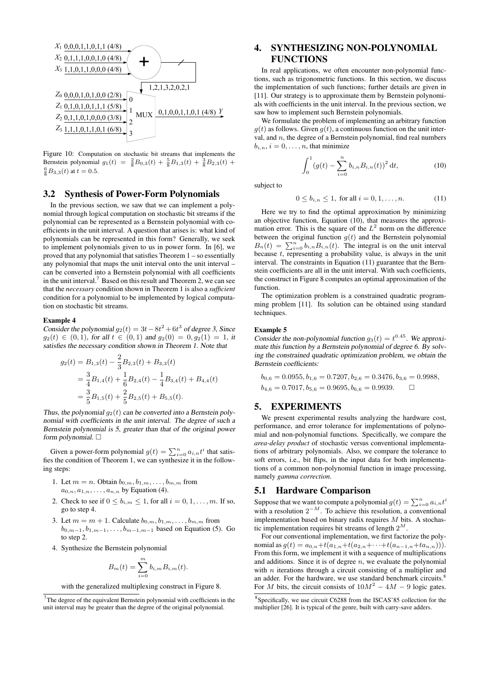

Figure 10: Computation on stochastic bit streams that implements the Bernstein polynomial  $g_1(t) = \frac{2}{8}B_{0,3}(t) + \frac{5}{8}B_{1,3}(t) + \frac{3}{8}B_{2,3}(t) +$  $\frac{6}{8}B_{3,3}(t)$  at  $t = 0.5$ .

# 3.2 Synthesis of Power-Form Polynomials

In the previous section, we saw that we can implement a polynomial through logical computation on stochastic bit streams if the polynomial can be represented as a Bernstein polynomial with coefficients in the unit interval. A question that arises is: what kind of polynomials can be represented in this form? Generally, we seek to implement polynomials given to us in power form. In [6], we proved that any polynomial that satisfies Theorem 1 – so essentially any polynomial that maps the unit interval onto the unit interval – can be converted into a Bernstein polynomial with all coefficients in the unit interval.<sup>7</sup> Based on this result and Theorem 2, we can see that the *necessary* condition shown in Theorem 1 is also a *sufficient* condition for a polynomial to be implemented by logical computation on stochastic bit streams.

# Example 4

Consider the polynomial  $g_2(t) = 3t - 8t^2 + 6t^3$  of degree 3, Since  $g_2(t) \in (0,1)$ , for all  $t \in (0,1)$  and  $g_2(0) = 0, g_2(1) = 1$ , it satisfies the necessary condition shown in Theorem 1. Note that

$$
g_2(t) = B_{1,3}(t) - \frac{2}{3}B_{2,3}(t) + B_{3,3}(t)
$$
  
=  $\frac{3}{4}B_{1,4}(t) + \frac{1}{6}B_{2,4}(t) - \frac{1}{4}B_{3,4}(t) + B_{4,4}(t)$   
=  $\frac{3}{5}B_{1,5}(t) + \frac{2}{5}B_{2,5}(t) + B_{5,5}(t)$ .

Thus, the polynomial  $q_2(t)$  can be converted into a Bernstein polynomial with coefficients in the unit interval. The degree of such a Bernstein polynomial is 5, greater than that of the original power form polynomial.  $\square$ 

Given a power-form polynomial  $g(t) = \sum_{i=0}^{n} a_{i,n} t^i$  that satisfies the condition of Theorem 1, we can synthesize it in the following steps:

- 1. Let  $m = n$ . Obtain  $b_{0,m}, b_{1,m}, \ldots, b_{m,m}$  from  $a_{0,n}, a_{1,n}, \ldots, a_{n,n}$  by Equation (4).
- 2. Check to see if  $0 \leq b_{i,m} \leq 1$ , for all  $i = 0, 1, \ldots, m$ . If so, go to step 4.
- 3. Let  $m = m + 1$ . Calculate  $b_{0,m}, b_{1,m}, \ldots, b_{m,m}$  from  $b_{0,m-1}, b_{1,m-1}, \ldots, b_{m-1,m-1}$  based on Equation (5). Go to step 2.
- 4. Synthesize the Bernstein polynomial

$$
B_m(t) = \sum_{i=0}^m b_{i,m} B_{i,m}(t).
$$

with the generalized multiplexing construct in Figure 8.

# 4. SYNTHESIZING NON-POLYNOMIAL FUNCTIONS

In real applications, we often encounter non-polynomial functions, such as trigonometric functions. In this section, we discuss the implementation of such functions; further details are given in [11]. Our strategy is to approximate them by Bernstein polynomials with coefficients in the unit interval. In the previous section, we saw how to implement such Bernstein polynomials.

We formulate the problem of implementing an arbitrary function  $g(t)$  as follows. Given  $g(t)$ , a continuous function on the unit interval, and  $n$ , the degree of a Bernstein polynomial, find real numbers  $b_{i,n}$ ,  $i = 0, \ldots, n$ , that minimize

$$
\int_0^1 (g(t) - \sum_{i=0}^n b_{i,n} B_{i,n}(t))^2 dt,
$$
\n(10)

subject to

$$
0 \le b_{i,n} \le 1, \text{ for all } i = 0, 1, \dots, n. \tag{11}
$$

Here we try to find the optimal approximation by minimizing an objective function, Equation (10), that measures the approximation error. This is the square of the  $L^2$  norm on the difference between the original function  $g(t)$  and the Bernstein polynomial  $B_n(t) = \sum_{i=0}^n b_{i,n} B_{i,n}(t)$ . The integral is on the unit interval because  $t$ , representing a probability value, is always in the unit interval. The constraints in Equation (11) guarantee that the Bernstein coefficients are all in the unit interval. With such coefficients, the construct in Figure 8 computes an optimal approximation of the function.

The optimization problem is a constrained quadratic programming problem [11]. Its solution can be obtained using standard techniques.

#### Example 5

Consider the non-polynomial function  $g_3(t) = t^{0.45}$ . We approximate this function by a Bernstein polynomial of degree 6. By solving the constrained quadratic optimization problem, we obtain the Bernstein coefficients:

$$
b_{0,6} = 0.0955, b_{1,6} = 0.7207, b_{2,6} = 0.3476, b_{3,6} = 0.9988,
$$
  
 $b_{4,6} = 0.7017, b_{5,6} = 0.9695, b_{6,6} = 0.9939.$ 

# 5. EXPERIMENTS

We present experimental results analyzing the hardware cost, performance, and error tolerance for implementations of polynomial and non-polynomial functions. Specifically, we compare the *area-delay product* of stochastic versus conventional implementations of arbitrary polynomials. Also, we compare the tolerance to soft errors, i.e., bit flips, in the input data for both implementations of a common non-polynomial function in image processing, namely *gamma correction*.

# 5.1 Hardware Comparison

Suppose that we want to compute a polynomial  $g(t) = \sum_{i=0}^{n} a_{i,n} t^i$ with a resolution  $2^{-M}$ . To achieve this resolution, a conventional implementation based on binary radix requires  $M$  bits. A stochastic implementation requires bit streams of length  $2^M$ .

For our conventional implementation, we first factorize the polynomial as  $g(t) = a_{0,n} + t(a_{1,n} + t(a_{2,n} + \cdots + t(a_{n-1,n} + ta_{n,n}))).$ From this form, we implement it with a sequence of multiplications and additions. Since it is of degree  $n$ , we evaluate the polynomial with  $n$  iterations through a circuit consisting of a multiplier and an adder. For the hardware, we use standard benchmark circuits.<sup>8</sup> For M bits, the circuit consists of  $10M^2 - 4M - 9$  logic gates.

 $7$ The degree of the equivalent Bernstein polynomial with coefficients in the unit interval may be greater than the degree of the original polynomial.

<sup>8</sup> Specifically, we use circuit C6288 from the ISCAS'85 collection for the multiplier [26]. It is typical of the genre, built with carry-save adders.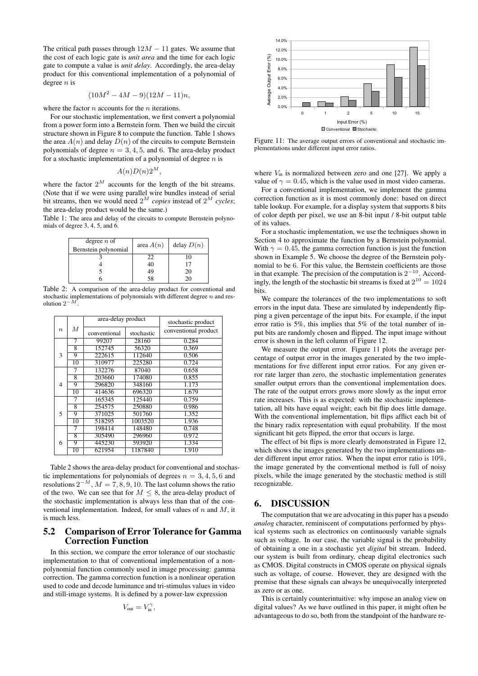The critical path passes through  $12M - 11$  gates. We assume that the cost of each logic gate is *unit area* and the time for each logic gate to compute a value is *unit delay*. Accordingly, the area-delay product for this conventional implementation of a polynomial of degree  $n$  is

$$
(10M^2 - 4M - 9)(12M - 11)n,
$$

where the factor  $n$  accounts for the  $n$  iterations.

For our stochastic implementation, we first convert a polynomial from a power form into a Bernstein form. Then we build the circuit structure shown in Figure 8 to compute the function. Table 1 shows the area  $A(n)$  and delay  $D(n)$  of the circuits to compute Bernstein polynomials of degree  $n = 3, 4, 5$ , and 6. The area-delay product for a stochastic implementation of a polynomial of degree  $n$  is

$$
A(n)D(n)2^M,
$$

where the factor  $2^M$  accounts for the length of the bit streams. (Note that if we were using parallel wire bundles instead of serial bit streams, then we would need  $2^M$  *copies* instead of  $2^M$  *cycles*; the area-delay product would be the same.)

Table 1: The area and delay of the circuits to compute Bernstein polynomials of degree 3, 4, 5, and  $\ddot{6}$ .

| degree $n$ of<br>Bernstein polynomial | area $A(n)$ | delay $D(n)$ |
|---------------------------------------|-------------|--------------|
|                                       | 22          |              |
|                                       | 40          |              |
|                                       | 49          | 20           |
|                                       | 58          | 20           |

Table 2: A comparison of the area-delay product for conventional and stochastic implementations of polynomials with different degree  $n$  and resolution  $2^{-M}$ 

|                          |    | area-delay product |            | stochastic product   |
|--------------------------|----|--------------------|------------|----------------------|
| $\boldsymbol{n}$         | М  | conventional       | stochastic | conventional product |
|                          | 7  | 99207              | 28160      | 0.284                |
| 3                        | 8  | 152745             | 56320      | 0.369                |
|                          | 9  | 222615             | 112640     | 0.506                |
|                          | 10 | 310977             | 225280     | 0.724                |
| $\overline{4}$           | 7  | 132276             | 87040      | 0.658                |
|                          | 8  | 203660             | 174080     | 0.855                |
|                          | 9  | 296820             | 348160     | 1.173                |
|                          | 10 | 414636             | 696320     | 1.679                |
|                          | 7  | 165345             | 125440     | 0.759                |
| $\overline{\phantom{0}}$ | 8  | 254575             | 250880     | 0.986                |
|                          | 9  | 371025             | 501760     | 1.352                |
|                          | 10 | 518295             | 1003520    | 1.936                |
|                          | 7  | 198414             | 148480     | 0.748                |
|                          | 8  | 305490             | 296960     | 0.972                |
| 6                        | 9  | 445230             | 593920     | 1.334                |
|                          | 10 | 621954             | 1187840    | 1.910                |

Table 2 shows the area-delay product for conventional and stochastic implementations for polynomials of degrees  $n = 3, 4, 5, 6$  and resolutions  $2^{-M}$ ,  $M = 7, 8, 9, 10$ . The last column shows the ratio of the two. We can see that for  $M \leq 8$ , the area-delay product of the stochastic implementation is always less than that of the conventional implementation. Indeed, for small values of  $n$  and  $M$ , it is much less.

# 5.2 Comparison of Error Tolerance for Gamma Correction Function

In this section, we compare the error tolerance of our stochastic implementation to that of conventional implementation of a nonpolynomial function commonly used in image processing: gamma correction. The gamma correction function is a nonlinear operation used to code and decode luminance and tri-stimulus values in video and still-image systems. It is defined by a power-law expression

$$
V_{\rm out}=V_{\rm in}^\gamma,
$$



Figure 11: The average output errors of conventional and stochastic implementations under different input error ratios.

where  $V_{\text{in}}$  is normalized between zero and one [27]. We apply a value of  $\gamma = 0.45$ , which is the value used in most video cameras.

For a conventional implementation, we implement the gamma correction function as it is most commonly done: based on direct table lookup. For example, for a display system that supports 8 bits of color depth per pixel, we use an 8-bit input / 8-bit output table of its values.

For a stochastic implementation, we use the techniques shown in Section 4 to approximate the function by a Bernstein polynomial. With  $\gamma = 0.45$ , the gamma correction function is just the function shown in Example 5. We choose the degree of the Bernstein polynomial to be 6. For this value, the Bernstein coefficients are those in that example. The precision of the computation is  $2^{-10}$ . Accordingly, the length of the stochastic bit streams is fixed at  $2^{10} = 1024$ bits.

We compare the tolerances of the two implementations to soft errors in the input data. These are simulated by independently flipping a given percentage of the input bits. For example, if the input error ratio is 5%, this implies that 5% of the total number of input bits are randomly chosen and flipped. The input image without error is shown in the left column of Figure 12.

We measure the output error. Figure 11 plots the average percentage of output error in the images generated by the two implementations for five different input error ratios. For any given error rate larger than zero, the stochastic implementation generates smaller output errors than the conventional implementation does. The rate of the output errors grows more slowly as the input error rate increases. This is as expected: with the stochastic implementation, all bits have equal weight; each bit flip does little damage. With the conventional implementation, bit flips afflict each bit of the binary radix representation with equal probability. If the most significant bit gets flipped, the error that occurs is large.

The effect of bit flips is more clearly demonstrated in Figure 12, which shows the images generated by the two implementations under different input error ratios. When the input error ratio is 10%, the image generated by the conventional method is full of noisy pixels, while the image generated by the stochastic method is still recognizable.

# 6. DISCUSSION

The computation that we are advocating in this paper has a pseudo *analog* character, reminiscent of computations performed by physical systems such as electronics on continuously variable signals such as voltage. In our case, the variable signal is the probability of obtaining a one in a stochastic yet *digital* bit stream. Indeed, our system is built from ordinary, cheap digital electronics such as CMOS. Digital constructs in CMOS operate on physical signals such as voltage, of course. However, they are designed with the premise that these signals can always be unequivocally interpreted as zero or as one.

This is certainly counterintuitive: why impose an analog view on digital values? As we have outlined in this paper, it might often be advantageous to do so, both from the standpoint of the hardware re-